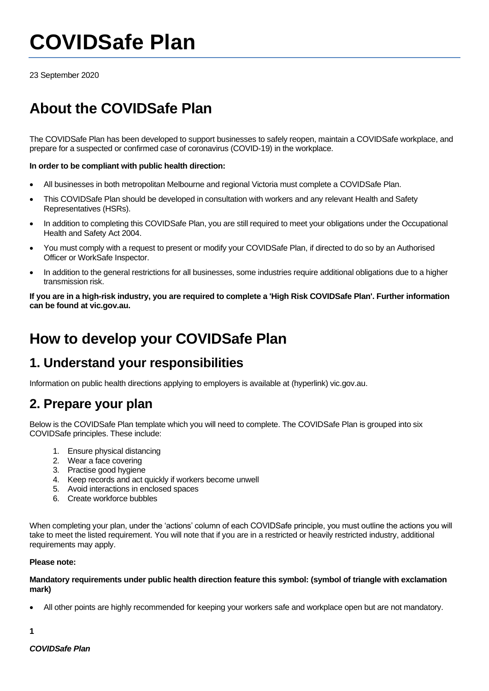# **COVIDSafe Plan**

23 September 2020

# **About the COVIDSafe Plan**

The COVIDSafe Plan has been developed to support businesses to safely reopen, maintain a COVIDSafe workplace, and prepare for a suspected or confirmed case of coronavirus (COVID-19) in the workplace.

#### **In order to be compliant with public health direction:**

- All businesses in both metropolitan Melbourne and regional Victoria must complete a COVIDSafe Plan.
- This COVIDSafe Plan should be developed in consultation with workers and any relevant Health and Safety Representatives (HSRs).
- In addition to completing this COVIDSafe Plan, you are still required to meet your obligations under the Occupational Health and Safety Act 2004.
- You must comply with a request to present or modify your COVIDSafe Plan, if directed to do so by an Authorised Officer or WorkSafe Inspector.
- In addition to the general restrictions for all businesses, some industries require additional obligations due to a higher transmission risk.

**If you are in a high-risk industry, you are required to complete a 'High Risk COVIDSafe Plan'. Further information can be found at vic.gov.au.**

### **How to develop your COVIDSafe Plan**

### **1. Understand your responsibilities**

Information on public health directions applying to employers is available at (hyperlink) vic.gov.au.

### **2. Prepare your plan**

Below is the COVIDSafe Plan template which you will need to complete. The COVIDSafe Plan is grouped into six COVIDSafe principles. These include:

- 1. Ensure physical distancing
- 2. Wear a face covering
- 3. Practise good hygiene
- 4. Keep records and act quickly if workers become unwell
- 5. Avoid interactions in enclosed spaces
- 6. Create workforce bubbles

When completing your plan, under the 'actions' column of each COVIDSafe principle, you must outline the actions you will take to meet the listed requirement. You will note that if you are in a restricted or heavily restricted industry, additional requirements may apply.

#### **Please note:**

#### **Mandatory requirements under public health direction feature this symbol: (symbol of triangle with exclamation mark)**

• All other points are highly recommended for keeping your workers safe and workplace open but are not mandatory.

**1**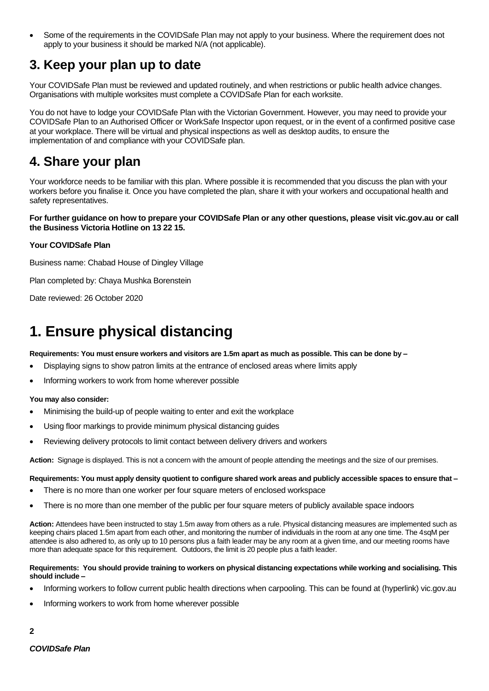• Some of the requirements in the COVIDSafe Plan may not apply to your business. Where the requirement does not apply to your business it should be marked N/A (not applicable).

### **3. Keep your plan up to date**

Your COVIDSafe Plan must be reviewed and updated routinely, and when restrictions or public health advice changes. Organisations with multiple worksites must complete a COVIDSafe Plan for each worksite.

You do not have to lodge your COVIDSafe Plan with the Victorian Government. However, you may need to provide your COVIDSafe Plan to an Authorised Officer or WorkSafe Inspector upon request, or in the event of a confirmed positive case at your workplace. There will be virtual and physical inspections as well as desktop audits, to ensure the implementation of and compliance with your COVIDSafe plan.

### **4. Share your plan**

Your workforce needs to be familiar with this plan. Where possible it is recommended that you discuss the plan with your workers before you finalise it. Once you have completed the plan, share it with your workers and occupational health and safety representatives.

#### **For further guidance on how to prepare your COVIDSafe Plan or any other questions, please visit vic.gov.au or call the Business Victoria Hotline on 13 22 15.**

#### **Your COVIDSafe Plan**

Business name: Chabad House of Dingley Village

Plan completed by: Chaya Mushka Borenstein

Date reviewed: 26 October 2020

# **1. Ensure physical distancing**

**Requirements: You must ensure workers and visitors are 1.5m apart as much as possible. This can be done by –**

- Displaying signs to show patron limits at the entrance of enclosed areas where limits apply
- Informing workers to work from home wherever possible

#### **You may also consider:**

- Minimising the build-up of people waiting to enter and exit the workplace
- Using floor markings to provide minimum physical distancing guides
- Reviewing delivery protocols to limit contact between delivery drivers and workers

**Action:** Signage is displayed. This is not a concern with the amount of people attending the meetings and the size of our premises.

#### **Requirements: You must apply density quotient to configure shared work areas and publicly accessible spaces to ensure that –**

- There is no more than one worker per four square meters of enclosed workspace
- There is no more than one member of the public per four square meters of publicly available space indoors

**Action:** Attendees have been instructed to stay 1.5m away from others as a rule. Physical distancing measures are implemented such as keeping chairs placed 1.5m apart from each other, and monitoring the number of individuals in the room at any one time. The 4sqM per attendee is also adhered to, as only up to 10 persons plus a faith leader may be any room at a given time, and our meeting rooms have more than adequate space for this requirement. Outdoors, the limit is 20 people plus a faith leader.

#### **Requirements: You should provide training to workers on physical distancing expectations while working and socialising. This should include –**

- Informing workers to follow current public health directions when carpooling. This can be found at (hyperlink) vic.gov.au
- Informing workers to work from home wherever possible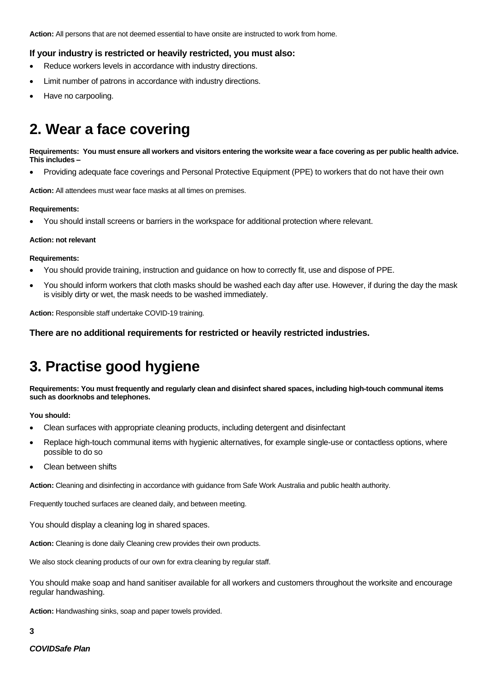**Action:** All persons that are not deemed essential to have onsite are instructed to work from home.

#### **If your industry is restricted or heavily restricted, you must also:**

- Reduce workers levels in accordance with industry directions.
- Limit number of patrons in accordance with industry directions.
- Have no carpooling.

# **2. Wear a face covering**

**Requirements: You must ensure all workers and visitors entering the worksite wear a face covering as per public health advice. This includes –**

• Providing adequate face coverings and Personal Protective Equipment (PPE) to workers that do not have their own

**Action:** All attendees must wear face masks at all times on premises.

#### **Requirements:**

• You should install screens or barriers in the workspace for additional protection where relevant.

#### **Action: not relevant**

#### **Requirements:**

- You should provide training, instruction and guidance on how to correctly fit, use and dispose of PPE.
- You should inform workers that cloth masks should be washed each day after use. However, if during the day the mask is visibly dirty or wet, the mask needs to be washed immediately.

**Action:** Responsible staff undertake COVID-19 training.

**There are no additional requirements for restricted or heavily restricted industries.**

### **3. Practise good hygiene**

**Requirements: You must frequently and regularly clean and disinfect shared spaces, including high-touch communal items such as doorknobs and telephones.** 

#### **You should:**

- Clean surfaces with appropriate cleaning products, including detergent and disinfectant
- Replace high-touch communal items with hygienic alternatives, for example single-use or contactless options, where possible to do so
- Clean between shifts

**Action:** Cleaning and disinfecting in accordance with guidance from Safe Work Australia and public health authority.

Frequently touched surfaces are cleaned daily, and between meeting.

You should display a cleaning log in shared spaces.

Action: Cleaning is done daily Cleaning crew provides their own products.

We also stock cleaning products of our own for extra cleaning by regular staff.

You should make soap and hand sanitiser available for all workers and customers throughout the worksite and encourage regular handwashing.

**Action:** Handwashing sinks, soap and paper towels provided.

**3**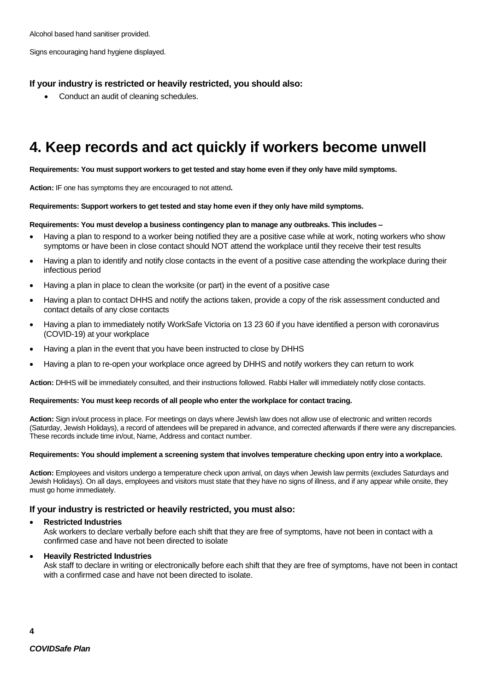Signs encouraging hand hygiene displayed.

#### **If your industry is restricted or heavily restricted, you should also:**

• Conduct an audit of cleaning schedules.

## **4. Keep records and act quickly if workers become unwell**

**Requirements: You must support workers to get tested and stay home even if they only have mild symptoms.**

**Action:** IF one has symptoms they are encouraged to not attend**.** 

#### **Requirements: Support workers to get tested and stay home even if they only have mild symptoms.**

#### **Requirements: You must develop a business contingency plan to manage any outbreaks. This includes –**

- Having a plan to respond to a worker being notified they are a positive case while at work, noting workers who show symptoms or have been in close contact should NOT attend the workplace until they receive their test results
- Having a plan to identify and notify close contacts in the event of a positive case attending the workplace during their infectious period
- Having a plan in place to clean the worksite (or part) in the event of a positive case
- Having a plan to contact DHHS and notify the actions taken, provide a copy of the risk assessment conducted and contact details of any close contacts
- Having a plan to immediately notify WorkSafe Victoria on 13 23 60 if you have identified a person with coronavirus (COVID-19) at your workplace
- Having a plan in the event that you have been instructed to close by DHHS
- Having a plan to re-open your workplace once agreed by DHHS and notify workers they can return to work

**Action:** DHHS will be immediately consulted, and their instructions followed. Rabbi Haller will immediately notify close contacts.

#### **Requirements: You must keep records of all people who enter the workplace for contact tracing.**

**Action:** Sign in/out process in place. For meetings on days where Jewish law does not allow use of electronic and written records (Saturday, Jewish Holidays), a record of attendees will be prepared in advance, and corrected afterwards if there were any discrepancies. These records include time in/out, Name, Address and contact number.

#### **Requirements: You should implement a screening system that involves temperature checking upon entry into a workplace.**

**Action:** Employees and visitors undergo a temperature check upon arrival, on days when Jewish law permits (excludes Saturdays and Jewish Holidays). On all days, employees and visitors must state that they have no signs of illness, and if any appear while onsite, they must go home immediately.

#### **If your industry is restricted or heavily restricted, you must also:**

#### • **Restricted Industries**

Ask workers to declare verbally before each shift that they are free of symptoms, have not been in contact with a confirmed case and have not been directed to isolate

#### • **Heavily Restricted Industries**

Ask staff to declare in writing or electronically before each shift that they are free of symptoms, have not been in contact with a confirmed case and have not been directed to isolate.